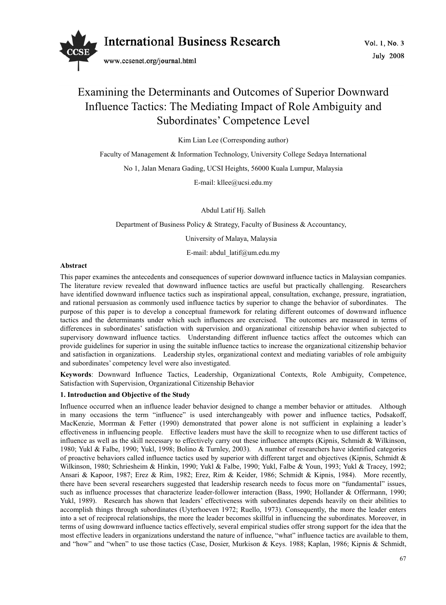

# Examining the Determinants and Outcomes of Superior Downward Influence Tactics: The Mediating Impact of Role Ambiguity and Subordinates' Competence Level

Kim Lian Lee (Corresponding author)

Faculty of Management & Information Technology, University College Sedaya International

No 1, Jalan Menara Gading, UCSI Heights, 56000 Kuala Lumpur, Malaysia

E-mail: kllee@ucsi.edu.my

Abdul Latif Hj. Salleh

Department of Business Policy & Strategy, Faculty of Business & Accountancy,

University of Malaya, Malaysia

E-mail: abdul\_latif@um.edu.my

#### **Abstract**

This paper examines the antecedents and consequences of superior downward influence tactics in Malaysian companies. The literature review revealed that downward influence tactics are useful but practically challenging. Researchers have identified downward influence tactics such as inspirational appeal, consultation, exchange, pressure, ingratiation, and rational persuasion as commonly used influence tactics by superior to change the behavior of subordinates. The purpose of this paper is to develop a conceptual framework for relating different outcomes of downward influence tactics and the determinants under which such influences are exercised. The outcomes are measured in terms of differences in subordinates' satisfaction with supervision and organizational citizenship behavior when subjected to supervisory downward influence tactics. Understanding different influence tactics affect the outcomes which can provide guidelines for superior in using the suitable influence tactics to increase the organizational citizenship behavior and satisfaction in organizations. Leadership styles, organizational context and mediating variables of role ambiguity and subordinates' competency level were also investigated.

**Keywords**: Downward Influence Tactics, Leadership, Organizational Contexts, Role Ambiguity, Competence, Satisfaction with Supervision, Organizational Citizenship Behavior

# **1. Introduction and Objective of the Study**

Influence occurred when an influence leader behavior designed to change a member behavior or attitudes. Although in many occasions the term "influence" is used interchangeably with power and influence tactics, Podsakoff, MacKenzie, Morrman & Fetter (1990) demonstrated that power alone is not sufficient in explaining a leader's effectiveness in influencing people. Effective leaders must have the skill to recognize when to use different tactics of influence as well as the skill necessary to effectively carry out these influence attempts (Kipnis, Schmidt & Wilkinson, 1980; Yukl & Falbe, 1990; Yukl, 1998; Bolino & Turnley, 2003). A number of researchers have identified categories of proactive behaviors called influence tactics used by superior with different target and objectives (Kipnis, Schmidt & Wilkinson, 1980; Schriesheim & Hinkin, 1990; Yukl & Falbe, 1990; Yukl, Falbe & Youn, 1993; Yukl & Tracey, 1992; Ansari & Kapoor, 1987; Erez & Rim, 1982; Erez, Rim & Keider, 1986; Schmidt & Kipnis, 1984). More recently, there have been several researchers suggested that leadership research needs to focus more on "fundamental" issues, such as influence processes that characterize leader-follower interaction (Bass, 1990; Hollander & Offermann, 1990; Yukl, 1989). Research has shown that leaders' effectiveness with subordinates depends heavily on their abilities to accomplish things through subordinates (Uyterhoeven 1972; Ruello, 1973). Consequently, the more the leader enters into a set of reciprocal relationships, the more the leader becomes skillful in influencing the subordinates. Moreover, in terms of using downward influence tactics effectively, several empirical studies offer strong support for the idea that the most effective leaders in organizations understand the nature of influence, "what" influence tactics are available to them, and "how" and "when" to use those tactics (Case, Dosier, Murkison & Keys. 1988; Kaplan, 1986; Kipnis & Schmidt,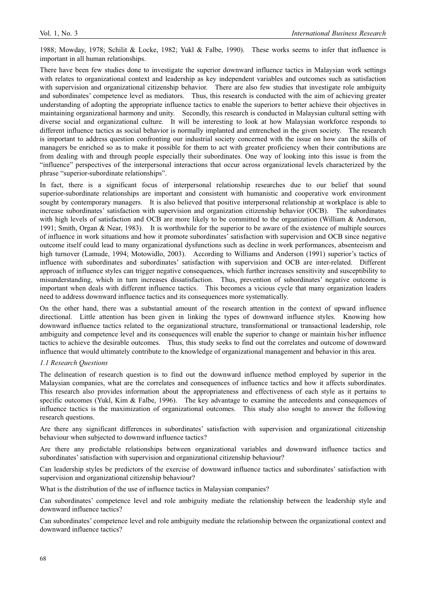1988; Mowday, 1978; Schilit & Locke, 1982; Yukl & Falbe, 1990). These works seems to infer that influence is important in all human relationships.

There have been few studies done to investigate the superior downward influence tactics in Malaysian work settings with relates to organizational context and leadership as key independent variables and outcomes such as satisfaction with supervision and organizational citizenship behavior. There are also few studies that investigate role ambiguity and subordinates' competence level as mediators. Thus, this research is conducted with the aim of achieving greater understanding of adopting the appropriate influence tactics to enable the superiors to better achieve their objectives in maintaining organizational harmony and unity. Secondly, this research is conducted in Malaysian cultural setting with diverse social and organizational culture. It will be interesting to look at how Malaysian workforce responds to different influence tactics as social behavior is normally implanted and entrenched in the given society. The research is important to address question confronting our industrial society concerned with the issue on how can the skills of managers be enriched so as to make it possible for them to act with greater proficiency when their contributions are from dealing with and through people especially their subordinates. One way of looking into this issue is from the "influence" perspectives of the interpersonal interactions that occur across organizational levels characterized by the phrase "superior-subordinate relationships".

In fact, there is a significant focus of interpersonal relationship researches due to our belief that sound superior-subordinate relationships are important and consistent with humanistic and cooperative work environment sought by contemporary managers. It is also believed that positive interpersonal relationship at workplace is able to increase subordinates' satisfaction with supervision and organization citizenship behavior (OCB). The subordinates with high levels of satisfaction and OCB are more likely to be committed to the organization (William & Anderson, 1991; Smith, Organ & Near, 1983). It is worthwhile for the superior to be aware of the existence of multiple sources of influence in work situations and how it promote subordinates' satisfaction with supervision and OCB since negative outcome itself could lead to many organizational dysfunctions such as decline in work performances, absenteeism and high turnover (Lamude, 1994; Motowidlo, 2003). According to Williams and Anderson (1991) superior's tactics of influence with subordinates and subordinates' satisfaction with supervision and OCB are inter-related. Different approach of influence styles can trigger negative consequences, which further increases sensitivity and susceptibility to misunderstanding, which in turn increases dissatisfaction. Thus, prevention of subordinates' negative outcome is important when deals with different influence tactics. This becomes a vicious cycle that many organization leaders need to address downward influence tactics and its consequences more systematically.

On the other hand, there was a substantial amount of the research attention in the context of upward influence directional. Little attention has been given in linking the types of downward influence styles. Knowing how downward influence tactics related to the organizational structure, transformational or transactional leadership, role ambiguity and competence level and its consequences will enable the superior to change or maintain his/her influence tactics to achieve the desirable outcomes. Thus, this study seeks to find out the correlates and outcome of downward influence that would ultimately contribute to the knowledge of organizational management and behavior in this area.

# *1.1 Research Questions*

The delineation of research question is to find out the downward influence method employed by superior in the Malaysian companies, what are the correlates and consequences of influence tactics and how it affects subordinates. This research also provides information about the appropriateness and effectiveness of each style as it pertains to specific outcomes (Yukl, Kim & Falbe, 1996). The key advantage to examine the antecedents and consequences of influence tactics is the maximization of organizational outcomes. This study also sought to answer the following research questions.

Are there any significant differences in subordinates' satisfaction with supervision and organizational citizenship behaviour when subjected to downward influence tactics?

Are there any predictable relationships between organizational variables and downward influence tactics and subordinates' satisfaction with supervision and organizational citizenship behaviour?

Can leadership styles be predictors of the exercise of downward influence tactics and subordinates' satisfaction with supervision and organizational citizenship behaviour?

What is the distribution of the use of influence tactics in Malaysian companies?

Can subordinates' competence level and role ambiguity mediate the relationship between the leadership style and downward influence tactics?

Can subordinates' competence level and role ambiguity mediate the relationship between the organizational context and downward influence tactics?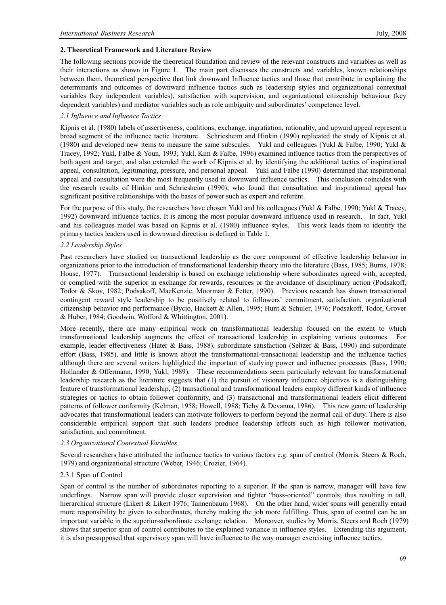#### **2. Theoretical Framework and Literature Review**

The following sections provide the theoretical foundation and review of the relevant constructs and variables as well as their interactions as shown in Figure 1. The main part discusses the constructs and variables, known relationships between them, theoretical perspective that link downward Influence tactics and those that contribute in explaining the determinants and outcomes of downward influence tactics such as leadership styles and organizational contextual variables (key independent variables), satisfaction with supervision, and organizational citizenship behaviour (key dependent variables) and mediator variables such as role ambiguity and subordinates' competence level.

#### *2.1 Influence and Influence Tactics*

Kipnis et al. (1980) labels of assertiveness, coalitions, exchange, ingratiation, rationality, and upward appeal represent a broad segment of the influence tactic literature. Schriesheim and Hinkin (1990) replicated the study of Kipnis et al. (1980) and developed new items to measure the same subscales. Yukl and colleagues (Yukl & Falbe, 1990; Yukl & Tracey, 1992; Yukl, Falbe & Youn, 1993; Yukl, Kim & Falbe, 1996) examined influence tactics from the perspectives of both agent and target, and also extended the work of Kipnis et al. by identifying the additional tactics of inspirational appeal, consultation, legitimating, pressure, and personal appeal. Yukl and Falbe (1990) determined that inspirational appeal and consultation were the most frequently used in downward influence tactics. This conclusion coincides with the research results of Hinkin and Schriesheim (1990), who found that consultation and inspirational appeal has significant positive relationships with the bases of power such as expert and referent.

For the purpose of this study, the researchers have chosen Yukl and his colleagues (Yukl & Falbe, 1990; Yukl & Tracey, 1992) downward influence tactics. It is among the most popular downward influence used in research. In fact, Yukl and his colleagues model was based on Kipnis et al. (1980) influence styles. This work leads them to identify the primary tactics leaders used in downward direction is defined in Table 1.

#### *2.2 Leadership Styles*

Past researchers have studied on transactional leadership as the core component of effective leadership behavior in organizations prior to the introduction of transformational leadership theory into the literature (Bass, 1985; Burns, 1978; House, 1977). Transactional leadership is based on exchange relationship where subordinates agreed with, accepted, or complied with the superior in exchange for rewards, resources or the avoidance of disciplinary action (Podsakoff, Todor & Skov, 1982; Podsakoff, MacKenzie, Moorman & Fetter, 1990). Previous research has shown transactional contingent reward style leadership to be positively related to followers' commitment, satisfaction, organizational citizenship behavior and performance (Bycio, Hackett & Allen, 1995; Hunt & Schuler, 1976; Podsakoff, Todor, Grover & Huber, 1984; Goodwin, Wofford & Whittington, 2001).

More recently, there are many empirical work on transformational leadership focused on the extent to which transformational leadership augments the effect of transactional leadership in explaining various outcomes. For example, leader effectiveness (Hater & Bass, 1988), subordinate satisfaction (Seltzer & Bass, 1990) and subordinate effort (Bass, 1985), and little is known about the transformational-transactional leadership and the influence tactics although there are several writers highlighted the important of studying power and influence processes (Bass, 1990; Hollander & Offermann, 1990; Yukl, 1989). These recommendations seem particularly relevant for transformational leadership research as the literature suggests that (1) the pursuit of visionary influence objectives is a distinguishing feature of transformational leadership, (2) transactional and transformational leaders employ different kinds of influence strategies or tactics to obtain follower conformity, and (3) transactional and transformational leaders elicit different patterns of follower conformity (Kelman, 1958; Howell, 1988; Tichy & Devanna, 1986). This new genre of leadership advocates that transformational leaders can motivate followers to perform beyond the normal call of duty. There is also considerable empirical support that such leaders produce leadership effects such as high follower motivation, satisfaction, and commitment.

#### *2.3 Organizational Contextual Variables*

Several researchers have attributed the influence tactics to various factors e.g. span of control (Morris, Steers & Roch, 1979) and organizational structure (Weber, 1946; Crozier, 1964).

## 2.3.1 Span of Control

Span of control is the number of subordinates reporting to a superior. If the span is narrow, manager will have few underlings. Narrow span will provide closer supervision and tighter "boss-oriented" controls; thus resulting in tall, hierarchical structure (Likert & Likert 1976; Tannenbaum 1968). On the other hand, wider spans will generally entail more responsibility be given to subordinates, thereby making the job more fulfilling. Thus, span of control can be an important variable in the superior-subordinate exchange relation. Moreover, studies by Morris, Steers and Roch (1979) shows that superior span of control contributes to the explained variance in influence styles. Extending this argument, it is also presupposed that supervisory span will have influence to the way manager exercising influence tactics.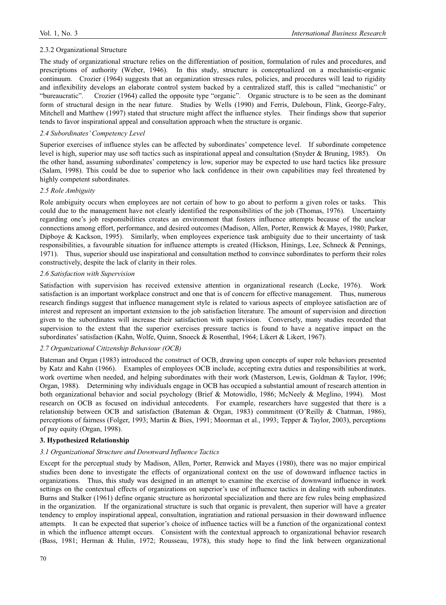#### 2.3.2 Organizational Structure

The study of organizational structure relies on the differentiation of position, formulation of rules and procedures, and prescriptions of authority (Weber, 1946). In this study, structure is conceptualized on a mechanistic-organic continuum. Crozier (1964) suggests that an organization stresses rules, policies, and procedures will lead to rigidity and inflexibility develops an elaborate control system backed by a centralized staff, this is called "mechanistic" or "bureaucratic". Crozier (1964) called the opposite type "organic". Organic structure is to be seen as the dominant form of structural design in the near future. Studies by Wells (1990) and Ferris, Duleboun, Flink, George-Falry, Mitchell and Matthew (1997) stated that structure might affect the influence styles. Their findings show that superior tends to favor inspirational appeal and consultation approach when the structure is organic.

#### *2.4 Subordinates' Competency Level*

Superior exercises of influence styles can be affected by subordinates' competence level. If subordinate competence level is high, superior may use soft tactics such as inspirational appeal and consultation (Snyder & Bruning, 1985). On the other hand, assuming subordinates' competency is low, superior may be expected to use hard tactics like pressure (Salam, 1998). This could be due to superior who lack confidence in their own capabilities may feel threatened by highly competent subordinates.

#### *2.5 Role Ambiguity*

Role ambiguity occurs when employees are not certain of how to go about to perform a given roles or tasks. This could due to the management have not clearly identified the responsibilities of the job (Thomas, 1976). Uncertainty regarding one's job responsibilities creates an environment that fosters influence attempts because of the unclear connections among effort, performance, and desired outcomes (Madison, Allen, Porter, Renwick & Mayes, 1980; Parker, Dipboye & Kackson, 1995). Similarly, when employees experience task ambiguity due to their uncertainty of task responsibilities, a favourable situation for influence attempts is created (Hickson, Hinings, Lee, Schneck & Pennings, 1971). Thus, superior should use inspirational and consultation method to convince subordinates to perform their roles constructively, despite the lack of clarity in their roles.

### *2.6 Satisfaction with Supervision*

Satisfaction with supervision has received extensive attention in organizational research (Locke, 1976). Work satisfaction is an important workplace construct and one that is of concern for effective management. Thus, numerous research findings suggest that influence management style is related to various aspects of employee satisfaction are of interest and represent an important extension to the job satisfaction literature. The amount of supervision and direction given to the subordinates will increase their satisfaction with supervision. Conversely, many studies recorded that supervision to the extent that the superior exercises pressure tactics is found to have a negative impact on the subordinates' satisfaction (Kahn, Wolfe, Quinn, Snoeck & Rosenthal, 1964; Likert & Likert, 1967).

### *2.7 Organizational Citizenship Behaviour (OCB)*

Bateman and Organ (1983) introduced the construct of OCB, drawing upon concepts of super role behaviors presented by Katz and Kahn (1966). Examples of employees OCB include, accepting extra duties and responsibilities at work, work overtime when needed, and helping subordinates with their work (Masterson, Lewis, Goldman & Taylor, 1996; Organ, 1988). Determining why individuals engage in OCB has occupied a substantial amount of research attention in both organizational behavior and social psychology (Brief & Motowidlo, 1986; McNeely & Meglino, 1994). Most research on OCB as focused on individual antecedents. For example, researchers have suggested that there is a relationship between OCB and satisfaction (Bateman & Organ, 1983) commitment (O'Reilly & Chatman, 1986), perceptions of fairness (Folger, 1993; Martin & Bies, 1991; Moorman et al., 1993; Tepper & Taylor, 2003), perceptions of pay equity (Organ, 1998).

# **3. Hypothesized Relationship**

#### *3.1 Organizational Structure and Downward Influence Tactics*

Except for the perceptual study by Madison, Allen, Porter, Renwick and Mayes (1980), there was no major empirical studies been done to investigate the effects of organizational context on the use of downward influence tactics in organizations. Thus, this study was designed in an attempt to examine the exercise of downward influence in work settings on the contextual effects of organizations on superior's use of influence tactics in dealing with subordinates. Burns and Stalker (1961) define organic structure as horizontal specialization and there are few rules being emphasized in the organization. If the organizational structure is such that organic is prevalent, then superior will have a greater tendency to employ inspirational appeal, consultation, ingratiation and rational persuasion in their downward influence attempts. It can be expected that superior's choice of influence tactics will be a function of the organizational context in which the influence attempt occurs. Consistent with the contextual approach to organizational behavior research (Bass, 1981; Herman & Hulin, 1972; Rousseau, 1978), this study hope to find the link between organizational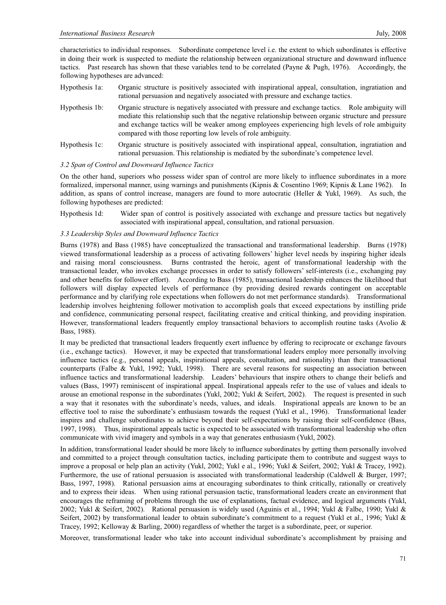characteristics to individual responses. Subordinate competence level i.e. the extent to which subordinates is effective in doing their work is suspected to mediate the relationship between organizational structure and downward influence tactics. Past research has shown that these variables tend to be correlated (Payne & Pugh, 1976). Accordingly, the following hypotheses are advanced:

- Hypothesis 1a: Organic structure is positively associated with inspirational appeal, consultation, ingratiation and rational persuasion and negatively associated with pressure and exchange tactics.
- Hypothesis 1b: Organic structure is negatively associated with pressure and exchange tactics. Role ambiguity will mediate this relationship such that the negative relationship between organic structure and pressure and exchange tactics will be weaker among employees experiencing high levels of role ambiguity compared with those reporting low levels of role ambiguity.
- Hypothesis 1c: Organic structure is positively associated with inspirational appeal, consultation, ingratiation and rational persuasion. This relationship is mediated by the subordinate's competence level.

## *3.2 Span of Control and Downward Influence Tactics*

On the other hand, superiors who possess wider span of control are more likely to influence subordinates in a more formalized, impersonal manner, using warnings and punishments (Kipnis & Cosentino 1969; Kipnis & Lane 1962). In addition, as spans of control increase, managers are found to more autocratic (Heller & Yukl, 1969). As such, the following hypotheses are predicted:

Hypothesis 1d: Wider span of control is positively associated with exchange and pressure tactics but negatively associated with inspirational appeal, consultation, and rational persuasion.

# *3.3 Leadership Styles and Downward Influence Tactics*

Burns (1978) and Bass (1985) have conceptualized the transactional and transformational leadership. Burns (1978) viewed transformational leadership as a process of activating followers' higher level needs by inspiring higher ideals and raising moral consciousness. Burns contrasted the heroic, agent of transformational leadership with the transactional leader, who invokes exchange processes in order to satisfy followers' self-interests (i.e., exchanging pay and other benefits for follower effort). According to Bass (1985), transactional leadership enhances the likelihood that followers will display expected levels of performance (by providing desired rewards contingent on acceptable performance and by clarifying role expectations when followers do not met performance standards). Transformational leadership involves heightening follower motivation to accomplish goals that exceed expectations by instilling pride and confidence, communicating personal respect, facilitating creative and critical thinking, and providing inspiration. However, transformational leaders frequently employ transactional behaviors to accomplish routine tasks (Avolio & Bass, 1988).

It may be predicted that transactional leaders frequently exert influence by offering to reciprocate or exchange favours (i.e., exchange tactics). However, it may be expected that transformational leaders employ more personally involving influence tactics (e.g., personal appeals, inspirational appeals, consultation, and rationality) than their transactional counterparts (Falbe & Yukl, 1992; Yukl, 1998). There are several reasons for suspecting an association between influence tactics and transformational leadership. Leaders' behaviours that inspire others to change their beliefs and values (Bass, 1997) reminiscent of inspirational appeal. Inspirational appeals refer to the use of values and ideals to arouse an emotional response in the subordinates (Yukl, 2002; Yukl & Seifert, 2002). The request is presented in such a way that it resonates with the subordinate's needs, values, and ideals. Inspirational appeals are known to be an effective tool to raise the subordinate's enthusiasm towards the request (Yukl et al., 1996). Transformational leader inspires and challenge subordinates to achieve beyond their self-expectations by raising their self-confidence (Bass, 1997, 1998). Thus, inspirational appeals tactic is expected to be associated with transformational leadership who often communicate with vivid imagery and symbols in a way that generates enthusiasm (Yukl, 2002).

In addition, transformational leader should be more likely to influence subordinates by getting them personally involved and committed to a project through consultation tactics, including participate them to contribute and suggest ways to improve a proposal or help plan an activity (Yukl, 2002; Yukl e al., 1996; Yukl & Seifert, 2002; Yukl & Tracey, 1992). Furthermore, the use of rational persuasion is associated with transformational leadership (Caldwell & Burger, 1997; Bass, 1997, 1998). Rational persuasion aims at encouraging subordinates to think critically, rationally or creatively and to express their ideas. When using rational persuasion tactic, transformational leaders create an environment that encourages the reframing of problems through the use of explanations, factual evidence, and logical arguments (Yukl, 2002; Yukl & Seifert, 2002). Rational persuasion is widely used (Aguinis et al., 1994; Yukl & Falbe, 1990; Yukl & Seifert, 2002) by transformational leader to obtain subordinate's commitment to a request (Yukl et al., 1996; Yukl & Tracey, 1992; Kelloway & Barling, 2000) regardless of whether the target is a subordinate, peer, or superior.

Moreover, transformational leader who take into account individual subordinate's accomplishment by praising and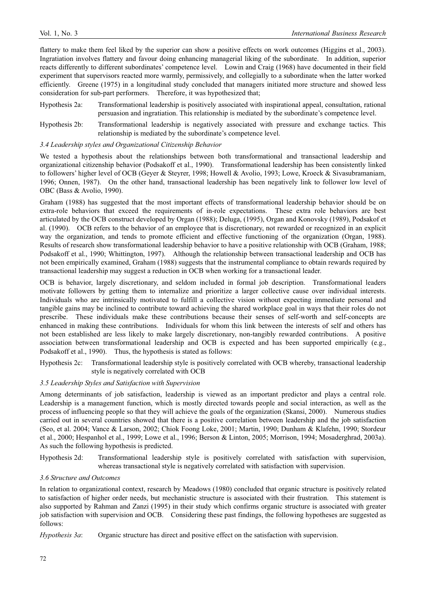flattery to make them feel liked by the superior can show a positive effects on work outcomes (Higgins et al., 2003). Ingratiation involves flattery and favour doing enhancing managerial liking of the subordinate. In addition, superior reacts differently to different subordinates' competence level. Lowin and Craig (1968) have documented in their field experiment that supervisors reacted more warmly, permissively, and collegially to a subordinate when the latter worked efficiently. Greene (1975) in a longitudinal study concluded that managers initiated more structure and showed less consideration for sub-part performers. Therefore, it was hypothesized that;

- Hypothesis 2a: Transformational leadership is positively associated with inspirational appeal, consultation, rational persuasion and ingratiation. This relationship is mediated by the subordinate's competence level.
- Hypothesis 2b: Transformational leadership is negatively associated with pressure and exchange tactics. This relationship is mediated by the subordinate's competence level.

## *3.4 Leadership styles and Organizational Citizenship Behavior*

We tested a hypothesis about the relationships between both transformational and transactional leadership and organizational citizenship behavior (Podsakoff et al., 1990). Transformational leadership has been consistently linked to followers' higher level of OCB (Geyer & Steyrer, 1998; Howell & Avolio, 1993; Lowe, Kroeck & Sivasubramaniam, 1996; Onnen, 1987). On the other hand, transactional leadership has been negatively link to follower low level of OBC (Bass & Avolio, 1990).

Graham (1988) has suggested that the most important effects of transformational leadership behavior should be on extra-role behaviors that exceed the requirements of in-role expectations. These extra role behaviors are best articulated by the OCB construct developed by Organ (1988); Deluga, (1995), Organ and Konovsky (1989), Podsakof et al. (1990). OCB refers to the behavior of an employee that is discretionary, not rewarded or recognized in an explicit way the organization, and tends to promote efficient and effective functioning of the organization (Organ, 1988). Results of research show transformational leadership behavior to have a positive relationship with OCB (Graham, 1988; Podsakoff et al., 1990; Whittington, 1997). Although the relationship between transactional leadership and OCB has not been empirically examined, Graham (1988) suggests that the instrumental compliance to obtain rewards required by transactional leadership may suggest a reduction in OCB when working for a transactional leader.

OCB is behavior, largely discretionary, and seldom included in formal job description. Transformational leaders motivate followers by getting them to internalize and prioritize a larger collective cause over individual interests. Individuals who are intrinsically motivated to fulfill a collective vision without expecting immediate personal and tangible gains may be inclined to contribute toward achieving the shared workplace goal in ways that their roles do not prescribe. These individuals make these contributions because their senses of self-worth and self-concepts are enhanced in making these contributions. Individuals for whom this link between the interests of self and others has not been established are less likely to make largely discretionary, non-tangibly rewarded contributions. A positive association between transformational leadership and OCB is expected and has been supported empirically (e.g., Podsakoff et al., 1990). Thus, the hypothesis is stated as follows:

Hypothesis 2c: Transformational leadership style is positively correlated with OCB whereby, transactional leadership style is negatively correlated with OCB

### *3.5 Leadership Styles and Satisfaction with Supervision*

Among determinants of job satisfaction, leadership is viewed as an important predictor and plays a central role. Leadership is a management function, which is mostly directed towards people and social interaction, as well as the process of influencing people so that they will achieve the goals of the organization (Skansi, 2000). Numerous studies carried out in several countries showed that there is a positive correlation between leadership and the job satisfaction (Seo, et al. 2004; Vance & Larson, 2002; Chiok Foong Loke, 2001; Martin, 1990; Dunham & Klafehn, 1990; Stordeur et al., 2000; Hespanhol et al., 1999; Lowe et al., 1996; Berson & Linton, 2005; Morrison, 1994; Mosaderghrad, 2003a). As such the following hypothesis is predicted.

Hypothesis 2d: Transformational leadership style is positively correlated with satisfaction with supervision, whereas transactional style is negatively correlated with satisfaction with supervision.

#### *3.6 Structure and Outcomes*

In relation to organizational context, research by Meadows (1980) concluded that organic structure is positively related to satisfaction of higher order needs, but mechanistic structure is associated with their frustration. This statement is also supported by Rahman and Zanzi (1995) in their study which confirms organic structure is associated with greater job satisfaction with supervision and OCB. Considering these past findings, the following hypotheses are suggested as follows:

*Hypothesis 3a*: Organic structure has direct and positive effect on the satisfaction with supervision.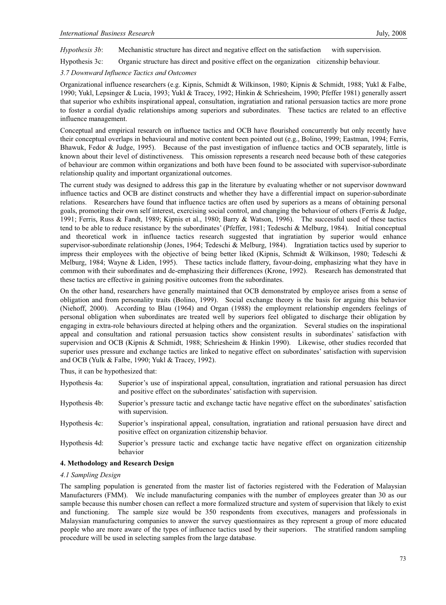*Hypothesis 3b*: Mechanistic structure has direct and negative effect on the satisfaction with supervision.

Hypothesis 3c: Organic structure has direct and positive effect on the organization citizenship behaviour.

*3.7 Downward Influence Tactics and Outcomes* 

Organizational influence researchers (e.g. Kipnis, Schmidt & Wilkinson, 1980; Kipnis & Schmidt, 1988; Yukl & Falbe, 1990; Yukl, Lepsinger & Lucia, 1993; Yukl & Tracey, 1992; Hinkin & Schriesheim, 1990; Pfeffer 1981) generally assert that superior who exhibits inspirational appeal, consultation, ingratiation and rational persuasion tactics are more prone to foster a cordial dyadic relationships among superiors and subordinates. These tactics are related to an effective influence management.

Conceptual and empirical research on influence tactics and OCB have flourished concurrently but only recently have their conceptual overlaps in behavioural and motive content been pointed out (e.g., Bolino, 1999; Eastman, 1994; Ferris, Bhawuk, Fedor & Judge, 1995). Because of the past investigation of influence tactics and OCB separately, little is known about their level of distinctiveness. This omission represents a research need because both of these categories of behaviour are common within organizations and both have been found to be associated with supervisor-subordinate relationship quality and important organizational outcomes.

The current study was designed to address this gap in the literature by evaluating whether or not supervisor downward influence tactics and OCB are distinct constructs and whether they have a differential impact on superior-subordinate relations. Researchers have found that influence tactics are often used by superiors as a means of obtaining personal goals, promoting their own self interest, exercising social control, and changing the behaviour of others (Ferris & Judge, 1991; Ferris, Russ & Fandt, 1989; Kipnis et al., 1980; Barry & Watson, 1996). The successful used of these tactics tend to be able to reduce resistance by the subordinates' (Pfeffer, 1981; Tedeschi & Melburg, 1984). Initial conceptual and theoretical work in influence tactics research suggested that ingratiation by superior would enhance supervisor-subordinate relationship (Jones, 1964; Tedeschi & Melburg, 1984). Ingratiation tactics used by superior to impress their employees with the objective of being better liked (Kipnis, Schmidt & Wilkinson, 1980; Tedeschi & Melburg, 1984; Wayne & Liden, 1995). These tactics include flattery, favour-doing, emphasizing what they have in common with their subordinates and de-emphasizing their differences (Krone, 1992). Research has demonstrated that these tactics are effective in gaining positive outcomes from the subordinates.

On the other hand, researchers have generally maintained that OCB demonstrated by employee arises from a sense of obligation and from personality traits (Bolino, 1999). Social exchange theory is the basis for arguing this behavior (Niehoff, 2000). According to Blau (1964) and Organ (1988) the employment relationship engenders feelings of personal obligation when subordinates are treated well by superiors feel obligated to discharge their obligation by engaging in extra-role behaviours directed at helping others and the organization. Several studies on the inspirational appeal and consultation and rational persuasion tactics show consistent results in subordinates' satisfaction with supervision and OCB (Kipnis & Schmidt, 1988; Schriesheim & Hinkin 1990). Likewise, other studies recorded that superior uses pressure and exchange tactics are linked to negative effect on subordinates' satisfaction with supervision and OCB (Yulk & Falbe, 1990; Yukl & Tracey, 1992).

Thus, it can be hypothesized that:

- Hypothesis 4a: Superior's use of inspirational appeal, consultation, ingratiation and rational persuasion has direct and positive effect on the subordinates' satisfaction with supervision.
- Hypothesis 4b: Superior's pressure tactic and exchange tactic have negative effect on the subordinates' satisfaction with supervision.
- Hypothesis 4c: Superior's inspirational appeal, consultation, ingratiation and rational persuasion have direct and positive effect on organization citizenship behavior.
- Hypothesis 4d: Superior's pressure tactic and exchange tactic have negative effect on organization citizenship behavior

# **4. Methodology and Research Design**

# *4.1 Sampling Design*

The sampling population is generated from the master list of factories registered with the Federation of Malaysian Manufacturers (FMM). We include manufacturing companies with the number of employees greater than 30 as our sample because this number chosen can reflect a more formalized structure and system of supervision that likely to exist and functioning. The sample size would be 350 respondents from executives, managers and professionals in Malaysian manufacturing companies to answer the survey questionnaires as they represent a group of more educated people who are more aware of the types of influence tactics used by their superiors. The stratified random sampling procedure will be used in selecting samples from the large database.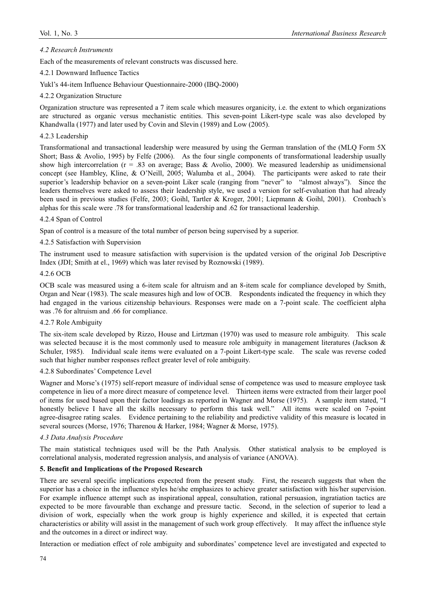## *4.2 Research Instruments*

Each of the measurements of relevant constructs was discussed here.

# 4.2.1 Downward Influence Tactics

Yukl's 44-item Influence Behaviour Questionnaire-2000 (IBQ-2000)

### 4.2.2 Organization Structure

Organization structure was represented a 7 item scale which measures organicity, i.e. the extent to which organizations are structured as organic versus mechanistic entities. This seven-point Likert-type scale was also developed by Khandwalla (1977) and later used by Covin and Slevin (1989) and Low (2005).

### 4.2.3 Leadership

Transformational and transactional leadership were measured by using the German translation of the (MLQ Form 5X Short; Bass  $&$  Avolio, 1995) by Felfe (2006). As the four single components of transformational leadership usually show high intercorrelation ( $r = .83$  on average; Bass & Avolio, 2000). We measured leadership as unidimensional concept (see Hambley, Kline, & O'Neill, 2005; Walumba et al., 2004). The participants were asked to rate their superior's leadership behavior on a seven-point Liker scale (ranging from "never" to "almost always"). Since the leaders themselves were asked to assess their leadership style, we used a version for self-evaluation that had already been used in previous studies (Felfe, 2003; Goihl, Tartler & Kroger, 2001; Liepmann & Goihl, 2001). Cronbach's alphas for this scale were .78 for transformational leadership and .62 for transactional leadership.

## 4.2.4 Span of Control

Span of control is a measure of the total number of person being supervised by a superior.

## 4.2.5 Satisfaction with Supervision

The instrument used to measure satisfaction with supervision is the updated version of the original Job Descriptive Index (JDI; Smith at el., 1969) which was later revised by Roznowski (1989).

#### 4.2.6 OCB

OCB scale was measured using a 6-item scale for altruism and an 8-item scale for compliance developed by Smith, Organ and Near (1983). The scale measures high and low of OCB. Respondents indicated the frequency in which they had engaged in the various citizenship behaviours. Responses were made on a 7-point scale. The coefficient alpha was .76 for altruism and .66 for compliance.

#### 4.2.7 Role Ambiguity

The six-item scale developed by Rizzo, House and Lirtzman (1970) was used to measure role ambiguity. This scale was selected because it is the most commonly used to measure role ambiguity in management literatures (Jackson & Schuler, 1985). Individual scale items were evaluated on a 7-point Likert-type scale. The scale was reverse coded such that higher number responses reflect greater level of role ambiguity.

#### 4.2.8 Subordinates' Competence Level

Wagner and Morse's (1975) self-report measure of individual sense of competence was used to measure employee task competence in lieu of a more direct measure of competence level. Thirteen items were extracted from their larger pool of items for used based upon their factor loadings as reported in Wagner and Morse (1975). A sample item stated, "I honestly believe I have all the skills necessary to perform this task well." All items were scaled on 7-point agree-disagree rating scales. Evidence pertaining to the reliability and predictive validity of this measure is located in several sources (Morse, 1976; Tharenou & Harker, 1984; Wagner & Morse, 1975).

#### *4.3 Data Analysis Procedure*

The main statistical techniques used will be the Path Analysis. Other statistical analysis to be employed is correlational analysis, moderated regression analysis, and analysis of variance (ANOVA).

# **5. Benefit and Implications of the Proposed Research**

There are several specific implications expected from the present study. First, the research suggests that when the superior has a choice in the influence styles he/she emphasizes to achieve greater satisfaction with his/her supervision. For example influence attempt such as inspirational appeal, consultation, rational persuasion, ingratiation tactics are expected to be more favourable than exchange and pressure tactic. Second, in the selection of superior to lead a division of work, especially when the work group is highly experience and skilled, it is expected that certain characteristics or ability will assist in the management of such work group effectively. It may affect the influence style and the outcomes in a direct or indirect way.

Interaction or mediation effect of role ambiguity and subordinates' competence level are investigated and expected to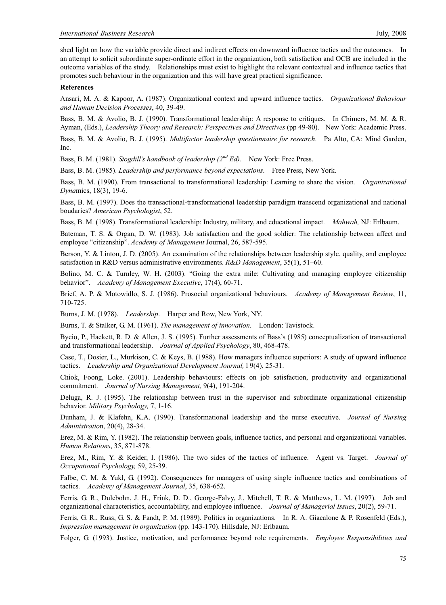shed light on how the variable provide direct and indirect effects on downward influence tactics and the outcomes. In an attempt to solicit subordinate super-ordinate effort in the organization, both satisfaction and OCB are included in the outcome variables of the study. Relationships must exist to highlight the relevant contextual and influence tactics that promotes such behaviour in the organization and this will have great practical significance.

#### **References**

Ansari, M. A. & Kapoor, A. (1987). Organizational context and upward influence tactics. *Organizational Behaviour and Human Decision Processes*, 40, 39-49.

Bass, B. M. & Avolio, B. J. (1990). Transformational leadership: A response to critiques. In Chimers, M. M. & R. Ayman, (Eds.), *Leadership Theory and Research: Perspectives and Directives* (pp 49-80). New York: Academic Press.

Bass, B. M. & Avolio, B. J. (1995). *Multifactor leadership questionnaire for research*. Pa Alto, CA: Mind Garden, Inc.

Bass, B. M. (1981). *Stogdill's handbook of leadership (2nd Ed).* New York: Free Press.

Bass, B. M. (1985). *Leadership and performance beyond expectations*. Free Press, New York.

Bass, B. M. (1990). From transactional to transformational leadership: Learning to share the vision*. Organizational Dyna*mics, 18(3), 19-6.

Bass, B. M. (1997). Does the transactional-transformational leadership paradigm transcend organizational and national boudaries? *American Psychologist*, 52.

Bass, B. M. (1998). Transformational leadership: Industry, military, and educational impact. *Mahwah,* NJ: Erlbaum.

Bateman, T. S. & Organ, D. W. (1983). Job satisfaction and the good soldier: The relationship between affect and employee "citizenship". *Academy of Management* Journal, 26, 587-595.

Berson, Y. & Linton, J. D. (2005). An examination of the relationships between leadership style, quality, and employee satisfaction in R&D versus administrative environments. *R&D Management*, 35(1), 51–60.

Bolino, M. C. & Turnley, W. H. (2003). "Going the extra mile: Cultivating and managing employee citizenship behavior". *Academy of Management Executive*, 17(4), 60-71.

Brief, A. P. & Motowidlo, S. J. (1986). Prosocial organizational behaviours. *Academy of Management Review*, 11, 710-725.

Burns, J. M. (1978). *Leadership*. Harper and Row, New York, NY.

Burns, T. & Stalker, G. M. (1961). *The management of innovation.* London: Tavistock.

Bycio, P., Hackett, R. D. & Allen, J. S. (1995). Further assessments of Bass's (1985) conceptualization of transactional and transformational leadership. *Journal of Applied Psychology*, 80, 468-478.

Case, T., Dosier, L., Murkison, C. & Keys, B. (1988). How managers influence superiors: A study of upward influence tactics. *Leadership and Organizational Development Journal,* l 9(4), 25-31.

Chiok, Foong, Loke. (2001). Leadership behaviours: effects on job satisfaction, productivity and organizational commitment. *Journal of Nursing Management,* 9(4), 191-204.

Deluga, R. J. (1995). The relationship between trust in the supervisor and subordinate organizational citizenship behavior. *Military Psychology,* 7, 1-16*.*

Dunham, J. & Klafehn, K.A. (1990). Transformational leadership and the nurse executive. *Journal of Nursing Administratio*n, 20(4), 28-34.

Erez, M. & Rim, Y. (1982). The relationship between goals, influence tactics, and personal and organizational variables. *Human Relations*, 35, 871-878.

Erez, M., Rim, Y. & Keider, I. (1986). The two sides of the tactics of influence. Agent vs. Target. *Journal of Occupational Psychology,* 59, 25-39.

Falbe, C. M. & Yukl, G. (1992). Consequences for managers of using single influence tactics and combinations of tactics*. Academy of Management Journal*, 35, 638-652.

Ferris, G. R., Dulebohn, J. H., Frink, D. D., George-Falvy, J., Mitchell, T. R. & Matthews, L. M. (1997). Job and organizational characteristics, accountability, and employee influence. *Journal of Managerial Issues*, 20(2), 59-71.

Ferris, G. R., Russ, G. S. & Fandt, P. M. (1989). Politics in organizations. In R. A. Giacalone & P. Rosenfeld (Eds.), *Impression management in organization* (pp. 143-170). Hillsdale, NJ: Erlbaum.

Folger, G. (1993). Justice, motivation, and performance beyond role requirements. *Employee Responsibilities and*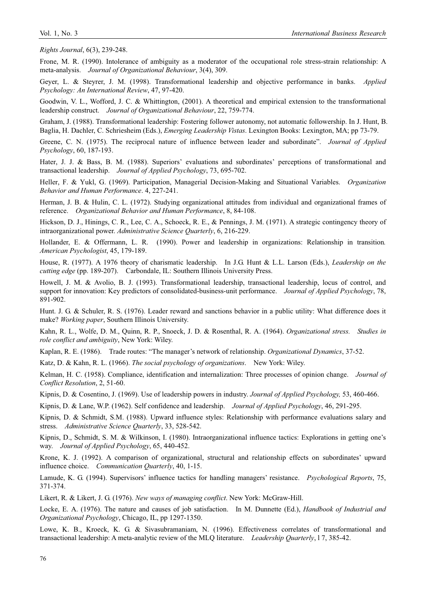*Rights Journal*, 6(3), 239-248.

Frone, M. R. (1990). Intolerance of ambiguity as a moderator of the occupational role stress-strain relationship: A meta-analysis. *Journal of Organizational Behaviour*, 3(4), 309.

Geyer, L. & Steyrer, J. M. (1998). Transformational leadership and objective performance in banks. *Applied Psychology: An International Review*, 47, 97-420.

Goodwin, V. L., Wofford, J. C. & Whittington, (2001). A theoretical and empirical extension to the transformational leadership construct. *Journal of Organizational Behaviour*, 22, 759-774.

Graham, J. (1988). Transformational leadership: Fostering follower autonomy, not automatic followership. In J. Hunt, B. Baglia, H. Dachler, C. Schriesheim (Eds.), *Emerging Leadership Vistas*. Lexington Books: Lexington, MA; pp 73-79.

Greene, C. N. (1975). The reciprocal nature of influence between leader and subordinate". *Journal of Applied Psychology*, 60, 187-193.

Hater, J. J. & Bass, B. M. (1988). Superiors' evaluations and subordinates' perceptions of transformational and transactional leadership. *Journal of Applied Psychology*, 73, 695-702.

Heller, F. & Yukl, G. (1969). Participation, Managerial Decision-Making and Situational Variables. *Organization Behavior and Human Performance*. 4, 227-241.

Herman, J. B. & Hulin, C. L. (1972). Studying organizational attitudes from individual and organizational frames of reference. *Organizational Behavior and Human Performance*, 8, 84-108.

Hickson, D. J., Hinings, C. R., Lee, C. A., Schoeck, R. E., & Pennings, J. M. (1971). A strategic contingency theory of intraorganizational power. *Administrative Science Quarterly*, 6, 216-229.

Hollander, E. & Offermann, L. R. (1990). Power and leadership in organizations: Relationship in transition*. American Psychologist*, 45, 179-189.

House, R. (1977). A 1976 theory of charismatic leadership. In J.G. Hunt & L.L. Larson (Eds.), *Leadership on the cutting edge* (pp. 189-207). Carbondale, IL: Southern Illinois University Press.

Howell, J. M. & Avolio, B. J. (1993). Transformational leadership, transactional leadership, locus of control, and support for innovation: Key predictors of consolidated-business-unit performance. *Journal of Applied Psychology*, 78, 891-902.

Hunt. J. G. & Schuler, R. S. (1976). Leader reward and sanctions behavior in a public utility: What difference does it make? *Working paper*, Southern Illinois University.

Kahn, R. L., Wolfe, D. M., Quinn, R. P., Snoeck, J. D. & Rosenthal, R. A. (1964). *Organizational stress. Studies in role conflict and ambiguity*, New York: Wiley.

Kaplan, R. E. (1986). Trade routes: "The manager's network of relationship. *Organizational Dynamics*, 37-52.

Katz, D. & Kahn, R. L. (1966). *The social psychology of organizations*. New York: Wiley.

Kelman, H. C. (1958). Compliance, identification and internalization: Three processes of opinion change. *Journal of Conflict Resolution*, 2, 51-60.

Kipnis, D. & Cosentino, J. (1969). Use of leadership powers in industry. *Journal of Applied Psychology,* 53, 460-466.

Kipnis, D. & Lane, W.P. (1962). Self confidence and leadership. *Journal of Applied Psychology*, 46, 291-295.

Kipnis, D. & Schmidt, S.M. (1988). Upward influence styles: Relationship with performance evaluations salary and stress. *Administrative Science Quarterly*, 33, 528-542.

Kipnis, D., Schmidt, S. M. & Wilkinson, I. (1980). Intraorganizational influence tactics: Explorations in getting one's way. *Journal of Applied Psychology*, 65, 440-452.

Krone, K. J. (1992). A comparison of organizational, structural and relationship effects on subordinates' upward influence choice. *Communication Quarterly*, 40, 1-15.

Lamude, K. G. (1994). Supervisors' influence tactics for handling managers' resistance. *Psychological Reports*, 75, 371-374.

Likert, R. & Likert, J. G. (1976). *New ways of managing conflict*. New York: McGraw-Hill.

Locke, E. A. (1976). The nature and causes of job satisfaction. In M. Dunnette (Ed.), *Handbook of Industrial and Organizational Psychology*, Chicago, IL, pp 1297-1350.

Lowe, K. B., Kroeck, K. G. & Sivasubramaniam, N. (1996). Effectiveness correlates of transformational and transactional leadership: A meta-analytic review of the MLQ literature. *Leadership Quarterly*, l 7, 385-42.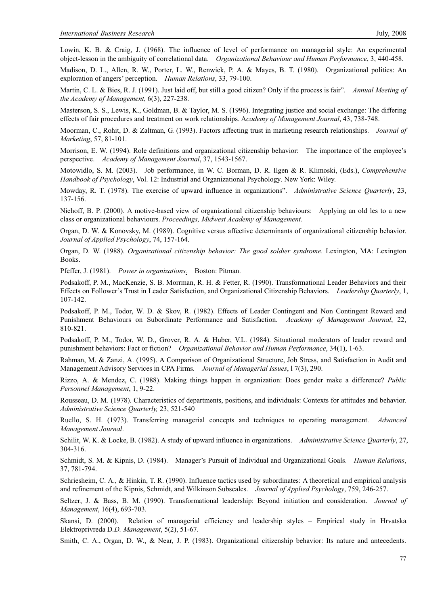Lowin, K. B. & Craig, J. (1968). The influence of level of performance on managerial style: An experimental object-lesson in the ambiguity of correlational data. *Organizational Behaviour and Human Performance*, 3, 440-458.

Madison, D. L., Allen, R. W., Porter, L. W., Renwick, P. A. & Mayes, B. T. (1980). Organizational politics: An exploration of angers' perception. *Human Relations*, 33, 79-100.

Martin, C. L. & Bies, R. J. (1991). Just laid off, but still a good citizen? Only if the process is fair". *Annual Meeting of the Academy of Management*, 6(3), 227-238.

Masterson, S. S., Lewis, K., Goldman, B. & Taylor, M. S. (1996). Integrating justice and social exchange: The differing effects of fair procedures and treatment on work relationships. A*cademy of Management Journal*, 43, 738-748.

Moorman, C., Rohit, D. & Zaltman, G. (1993). Factors affecting trust in marketing research relationships. *Journal of Marketing*, 57, 81-101.

Morrison, E. W. (1994). Role definitions and organizational citizenship behavior: The importance of the employee's perspective. *Academy of Management Journal*, 37, 1543-1567.

Motowidlo, S. M. (2003). Job performance, in W. C. Borman, D. R. Ilgen & R. Klimoski, (Eds.), *Comprehensive Handbook of Psychology*, Vol. 12: Industrial and Organizational Psychology. New York: Wiley.

Mowday, R. T. (1978). The exercise of upward influence in organizations". *Administrative Science Quarterly*, 23, 137-156.

Niehoff, B. P. (2000). A motive-based view of organizational citizenship behaviours: Applying an old les to a new class or organizational behaviours. *Proceedings, Midwest Academy of Management.* 

Organ, D. W. & Konovsky, M. (1989). Cognitive versus affective determinants of organizational citizenship behavior. *Journal of Applied Psychology*, 74, 157-164.

Organ, D. W. (1988). *Organizational citizenship behavior: The good soldier syndrome*. Lexington, MA: Lexington Books.

Pfeffer, J. (1981). *Power in organizations.* Boston: Pitman.

Podsakoff, P. M., MacKenzie, S. B. Morrman, R. H. & Fetter, R. (1990). Transformational Leader Behaviors and their Effects on Follower's Trust in Leader Satisfaction, and Organizational Citizenship Behaviors. *Leadership Quarterly*, 1, 107-142.

Podsakoff, P. M., Todor, W. D. & Skov, R. (1982). Effects of Leader Contingent and Non Contingent Reward and Punishment Behaviours on Subordinate Performance and Satisfaction. *Academy of Management Journal*, 22, 810-821.

Podsakoff, P. M., Todor, W. D., Grover, R. A. & Huber, V.L. (1984). Situational moderators of leader reward and punishment behaviors: Fact or fiction? *Organizational Behavior and Human Performance*, 34(1), 1-63.

Rahman, M. & Zanzi, A. (1995). A Comparison of Organizational Structure, Job Stress, and Satisfaction in Audit and Management Advisory Services in CPA Firms. *Journal of Managerial Issues*, l 7(3), 290.

Rizzo, A. & Mendez, C. (1988). Making things happen in organization: Does gender make a difference? *Public Personnel Management*, 1, 9-22.

Rousseau, D. M. (1978). Characteristics of departments, positions, and individuals: Contexts for attitudes and behavior. *Administrative Science Quarterly,* 23, 521-540

Ruello, S. H. (1973). Transferring managerial concepts and techniques to operating management. *Advanced Management Journal*.

Schilit, W. K. & Locke, B. (1982). A study of upward influence in organizations. *Administrative Science Quarterly*, 27, 304-316.

Schmidt, S. M. & Kipnis, D. (1984). Manager's Pursuit of Individual and Organizational Goals. *Human Relations*, 37, 781-794.

Schriesheim, C. A., & Hinkin, T. R. (1990). Influence tactics used by subordinates: A theoretical and empirical analysis and refinement of the Kipnis, Schmidt, and Wilkinson Subscales. *Journal of Applied Psychology*, 759, 246-257.

Seltzer, J. & Bass, B. M. (1990). Transformational leadership: Beyond initiation and consideration. *Journal of Management*, 16(4), 693-703.

Skansi, D. (2000). Relation of managerial efficiency and leadership styles – Empirical study in Hrvatska Elektroprivreda D*.D. Management*, 5(2), 51-67.

Smith, C. A., Organ, D. W., & Near, J. P. (1983). Organizational citizenship behavior: Its nature and antecedents.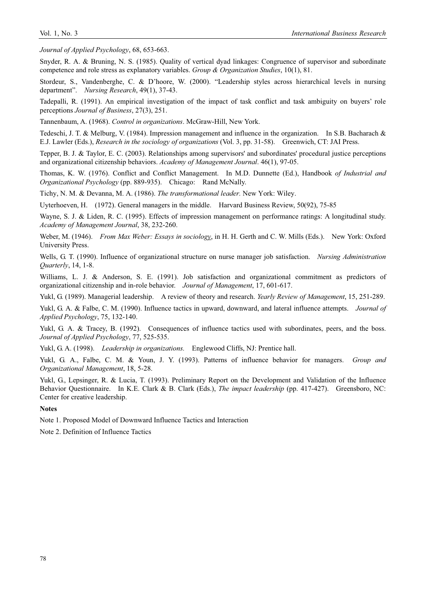*Journal of Applied Psychology*, 68, 653-663.

Snyder, R. A. & Bruning, N. S. (1985). Quality of vertical dyad linkages: Congruence of supervisor and subordinate competence and role stress as explanatory variables. *Group & Organization Studies*, 10(1), 81.

Stordeur, S., Vandenberghe, C. & D'hoore, W. (2000). "Leadership styles across hierarchical levels in nursing department". *Nursing Research*, 49(1), 37-43.

Tadepalli, R. (1991). An empirical investigation of the impact of task conflict and task ambiguity on buyers' role perceptions *Journal of Business*, 27(3), 251.

Tannenbaum, A. (1968). *Control in organizations*. McGraw-Hill, New York.

Tedeschi, J. T. & Melburg, V. (1984). Impression management and influence in the organization. In S.B. Bacharach & E.J. Lawler (Eds.), *Research in the sociology of organizations* (Vol. 3, pp. 31-58). Greenwich, CT: JAI Press.

Tepper, B. J. & Taylor, E. C. (2003). Relationships among supervisors' and subordinates' procedural justice perceptions and organizational citizenship behaviors. *Academy of Management Journal*. 46(1), 97-05.

Thomas, K. W. (1976). Conflict and Conflict Management. In M.D. Dunnette (Ed.), Handbook *of Industrial and Organizational Psychology* (pp. 889-935). Chicago: Rand McNally.

Tichy, N. M. & Devanna, M. A. (1986). *The transformational leader.* New York: Wiley.

Uyterhoeven, H. (1972). General managers in the middle. Harvard Business Review, 50(92), 75-85

Wayne, S. J. & Liden, R. C. (1995). Effects of impression management on performance ratings: A longitudinal study. *Academy of Management Journal*, 38, 232-260.

Weber, M. (1946). *From Max Weber: Essays in sociology*, in H. H. Gerth and C. W. Mills (Eds.). New York: Oxford University Press.

Wells, G. T. (1990). Influence of organizational structure on nurse manager job satisfaction. *Nursing Administration Quarterly*, 14, 1-8.

Williams, L. J. & Anderson, S. E. (1991). Job satisfaction and organizational commitment as predictors of organizational citizenship and in-role behavior. *Journal of Management*, 17, 601-617.

Yukl, G. (1989). Managerial leadership. A review of theory and research. *Yearly Review of Management*, 15, 251-289.

Yukl, G. A. & Falbe, C. M. (1990). Influence tactics in upward, downward, and lateral influence attempts. *Journal of Applied Psychology*, 75, 132-140.

Yukl, G. A. & Tracey, B. (1992). Consequences of influence tactics used with subordinates, peers, and the boss. *Journal of Applied Psychology*, 77, 525-535.

Yukl, G. A. (1998). *Leadership in organizations.* Englewood Cliffs, NJ: Prentice hall.

Yukl, G. A., Falbe, C. M. & Youn, J. Y. (1993). Patterns of influence behavior for managers. *Group and Organizational Management*, 18, 5-28.

Yukl, G., Lepsinger, R. & Lucia, T. (1993). Preliminary Report on the Development and Validation of the Influence Behavior Questionnaire. In K.E. Clark & B. Clark (Eds.), *The impact leadership* (pp. 417-427). Greensboro, NC: Center for creative leadership.

#### **Notes**

Note 1. Proposed Model of Downward Influence Tactics and Interaction

Note 2. Definition of Influence Tactics